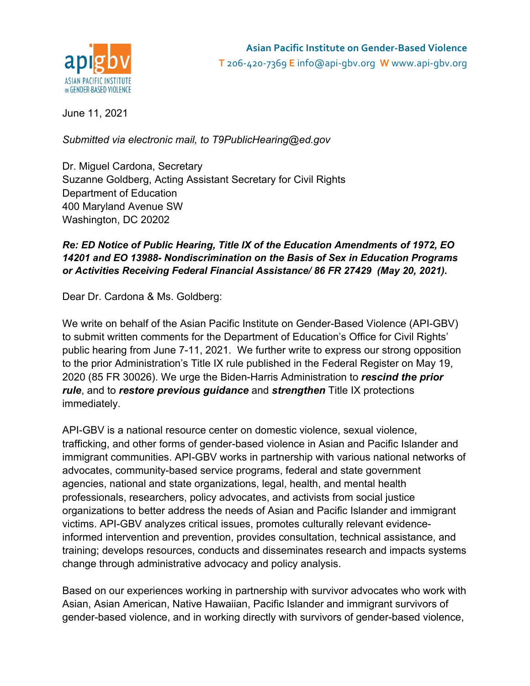

June 11, 2021

*Submitted via electronic mail, to T9PublicHearing@ed.gov*

Dr. Miguel Cardona, Secretary Suzanne Goldberg, Acting Assistant Secretary for Civil Rights Department of Education 400 Maryland Avenue SW Washington, DC 20202

## *Re: ED Notice of Public Hearing, Title IX of the Education Amendments of 1972, EO 14201 and EO 13988- Nondiscrimination on the Basis of Sex in Education Programs or Activities Receiving Federal Financial Assistance/ 86 FR 27429 (May 20, 2021).*

Dear Dr. Cardona & Ms. Goldberg:

We write on behalf of the Asian Pacific Institute on Gender-Based Violence (API-GBV) to submit written comments for the Department of Education's Office for Civil Rights' public hearing from June 7-11, 2021. We further write to express our strong opposition to the prior Administration's Title IX rule published in the Federal Register on May 19, 2020 (85 FR 30026). We urge the Biden-Harris Administration to *rescind the prior rule*, and to *restore previous guidance* and *strengthen* Title IX protections immediately.

API-GBV is a national resource center on domestic violence, sexual violence, trafficking, and other forms of gender-based violence in Asian and Pacific Islander and immigrant communities. API-GBV works in partnership with various national networks of advocates, community-based service programs, federal and state government agencies, national and state organizations, legal, health, and mental health professionals, researchers, policy advocates, and activists from social justice organizations to better address the needs of Asian and Pacific Islander and immigrant victims. API-GBV analyzes critical issues, promotes culturally relevant evidenceinformed intervention and prevention, provides consultation, technical assistance, and training; develops resources, conducts and disseminates research and impacts systems change through administrative advocacy and policy analysis.

Based on our experiences working in partnership with survivor advocates who work with Asian, Asian American, Native Hawaiian, Pacific Islander and immigrant survivors of gender-based violence, and in working directly with survivors of gender-based violence,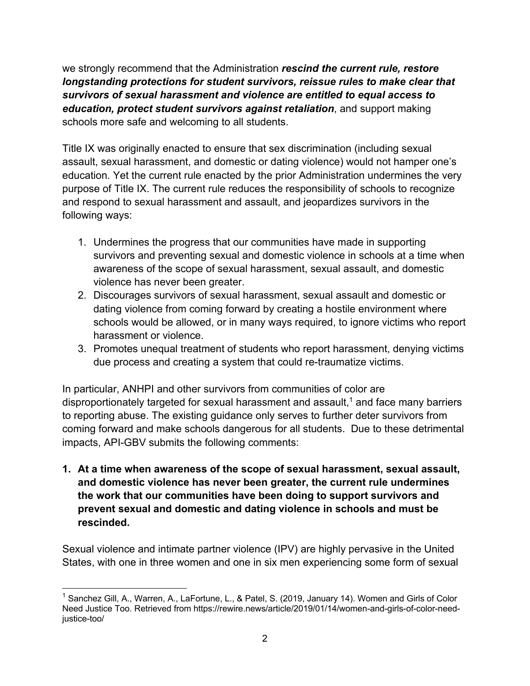we strongly recommend that the Administration *rescind the current rule, restore longstanding protections for student survivors, reissue rules to make clear that survivors of sexual harassment and violence are entitled to equal access to education, protect student survivors against retaliation*, and support making schools more safe and welcoming to all students.

Title IX was originally enacted to ensure that sex discrimination (including sexual assault, sexual harassment, and domestic or dating violence) would not hamper one's education. Yet the current rule enacted by the prior Administration undermines the very purpose of Title IX. The current rule reduces the responsibility of schools to recognize and respond to sexual harassment and assault, and jeopardizes survivors in the following ways:

- 1. Undermines the progress that our communities have made in supporting survivors and preventing sexual and domestic violence in schools at a time when awareness of the scope of sexual harassment, sexual assault, and domestic violence has never been greater.
- 2. Discourages survivors of sexual harassment, sexual assault and domestic or dating violence from coming forward by creating a hostile environment where schools would be allowed, or in many ways required, to ignore victims who report harassment or violence.
- 3. Promotes unequal treatment of students who report harassment, denying victims due process and creating a system that could re-traumatize victims.

In particular, ANHPI and other survivors from communities of color are disproportionately targeted for sexual harassment and assault, $<sup>1</sup>$  and face many barriers</sup> to reporting abuse. The existing guidance only serves to further deter survivors from coming forward and make schools dangerous for all students. Due to these detrimental impacts, API-GBV submits the following comments:

**1. At a time when awareness of the scope of sexual harassment, sexual assault, and domestic violence has never been greater, the current rule undermines the work that our communities have been doing to support survivors and prevent sexual and domestic and dating violence in schools and must be rescinded.**

Sexual violence and intimate partner violence (IPV) are highly pervasive in the United States, with one in three women and one in six men experiencing some form of sexual

<sup>&</sup>lt;sup>1</sup> Sanchez Gill, A., Warren, A., LaFortune, L., & Patel, S. (2019, January 14). Women and Girls of Color Need Justice Too. Retrieved from https://rewire.news/article/2019/01/14/women-and-girls-of-color-needjustice-too/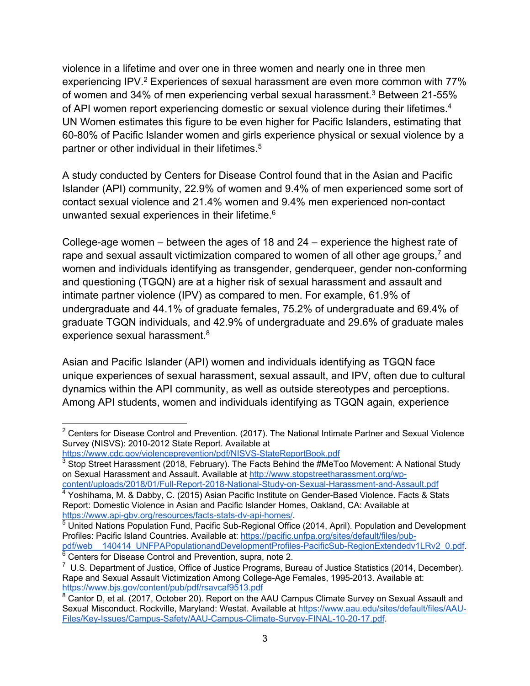violence in a lifetime and over one in three women and nearly one in three men experiencing IPV.<sup>2</sup> Experiences of sexual harassment are even more common with 77% of women and 34% of men experiencing verbal sexual harassment.<sup>3</sup> Between 21-55% of API women report experiencing domestic or sexual violence during their lifetimes.<sup>4</sup> UN Women estimates this figure to be even higher for Pacific Islanders, estimating that 60-80% of Pacific Islander women and girls experience physical or sexual violence by a partner or other individual in their lifetimes.<sup>5</sup>

A study conducted by Centers for Disease Control found that in the Asian and Pacific Islander (API) community, 22.9% of women and 9.4% of men experienced some sort of contact sexual violence and 21.4% women and 9.4% men experienced non-contact unwanted sexual experiences in their lifetime.<sup>6</sup>

College-age women – between the ages of 18 and 24 – experience the highest rate of rape and sexual assault victimization compared to women of all other age groups,<sup>7</sup> and women and individuals identifying as transgender, genderqueer, gender non-conforming and questioning (TGQN) are at a higher risk of sexual harassment and assault and intimate partner violence (IPV) as compared to men. For example, 61.9% of undergraduate and 44.1% of graduate females, 75.2% of undergraduate and 69.4% of graduate TGQN individuals, and 42.9% of undergraduate and 29.6% of graduate males experience sexual harassment.<sup>8</sup>

Asian and Pacific Islander (API) women and individuals identifying as TGQN face unique experiences of sexual harassment, sexual assault, and IPV, often due to cultural dynamics within the API community, as well as outside stereotypes and perceptions. Among API students, women and individuals identifying as TGQN again, experience

https://www.api-gbv.org/resources/facts-stats-dv-api-homes/.

 $6$  Centers for Disease Control and Prevention, supra, note 2.

 $2$  Centers for Disease Control and Prevention. (2017). The National Intimate Partner and Sexual Violence Survey (NISVS): 2010-2012 State Report. Available at

https://www.cdc.gov/violenceprevention/pdf/NISVS-StateReportBook.pdf

 $3$  Stop Street Harassment (2018, February). The Facts Behind the #MeToo Movement: A National Study on Sexual Harassment and Assault. Available at http://www.stopstreetharassment.org/wp-

content/uploads/2018/01/Full-Report-2018-National-Study-on-Sexual-Harassment-and-Assault.pdf <sup>4</sup> Yoshihama, M. & Dabby, C. (2015) Asian Pacific Institute on Gender-Based Violence. Facts & Stats Report: Domestic Violence in Asian and Pacific Islander Homes, Oakland, CA: Available at

<sup>5</sup> United Nations Population Fund, Pacific Sub-Regional Office (2014, April). Population and Development Profiles: Pacific Island Countries. Available at: https://pacific.unfpa.org/sites/default/files/pubpdf/web\_\_140414\_UNFPAPopulationandDevelopmentProfiles-PacificSub-RegionExtendedv1LRv2\_0.pdf.

 $7$  U.S. Department of Justice, Office of Justice Programs, Bureau of Justice Statistics (2014, December). Rape and Sexual Assault Victimization Among College-Age Females, 1995-2013. Available at: https://www.bjs.gov/content/pub/pdf/rsavcaf9513.pdf

 $8$  Cantor D, et al. (2017, October 20). Report on the AAU Campus Climate Survey on Sexual Assault and Sexual Misconduct. Rockville, Maryland: Westat. Available at https://www.aau.edu/sites/default/files/AAU-Files/Key-Issues/Campus-Safety/AAU-Campus-Climate-Survey-FINAL-10-20-17.pdf.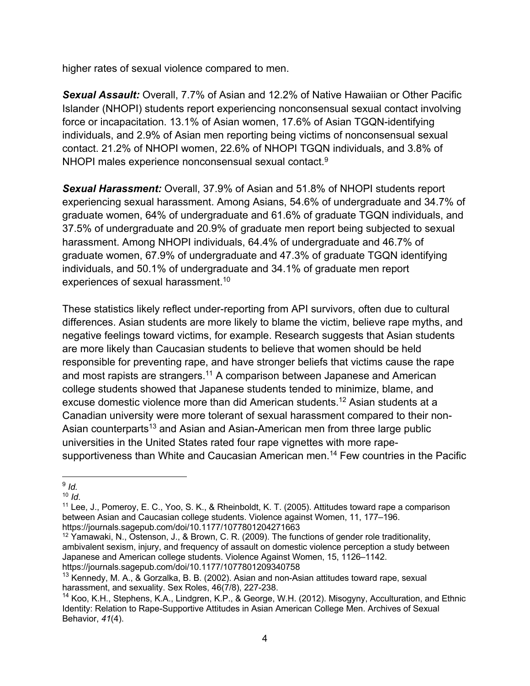higher rates of sexual violence compared to men.

*Sexual Assault:* Overall, 7.7% of Asian and 12.2% of Native Hawaiian or Other Pacific Islander (NHOPI) students report experiencing nonconsensual sexual contact involving force or incapacitation. 13.1% of Asian women, 17.6% of Asian TGQN-identifying individuals, and 2.9% of Asian men reporting being victims of nonconsensual sexual contact. 21.2% of NHOPI women, 22.6% of NHOPI TGQN individuals, and 3.8% of NHOPI males experience nonconsensual sexual contact.9

*Sexual Harassment:* Overall, 37.9% of Asian and 51.8% of NHOPI students report experiencing sexual harassment. Among Asians, 54.6% of undergraduate and 34.7% of graduate women, 64% of undergraduate and 61.6% of graduate TGQN individuals, and 37.5% of undergraduate and 20.9% of graduate men report being subjected to sexual harassment. Among NHOPI individuals, 64.4% of undergraduate and 46.7% of graduate women, 67.9% of undergraduate and 47.3% of graduate TGQN identifying individuals, and 50.1% of undergraduate and 34.1% of graduate men report experiences of sexual harassment.<sup>10</sup>

These statistics likely reflect under-reporting from API survivors, often due to cultural differences. Asian students are more likely to blame the victim, believe rape myths, and negative feelings toward victims, for example. Research suggests that Asian students are more likely than Caucasian students to believe that women should be held responsible for preventing rape, and have stronger beliefs that victims cause the rape and most rapists are strangers.<sup>11</sup> A comparison between Japanese and American college students showed that Japanese students tended to minimize, blame, and excuse domestic violence more than did American students. <sup>12</sup> Asian students at a Canadian university were more tolerant of sexual harassment compared to their non-Asian counterparts<sup>13</sup> and Asian and Asian-American men from three large public universities in the United States rated four rape vignettes with more rapesupportiveness than White and Caucasian American men.<sup>14</sup> Few countries in the Pacific

<sup>9</sup> *Id.*

<sup>10</sup> *Id*.

<sup>&</sup>lt;sup>11</sup> Lee, J., Pomeroy, E. C., Yoo, S. K., & Rheinboldt, K. T. (2005). Attitudes toward rape a comparison between Asian and Caucasian college students. Violence against Women, 11, 177–196. https://journals.sagepub.com/doi/10.1177/1077801204271663

 $12$  Yamawaki, N., Ostenson, J., & Brown, C. R. (2009). The functions of gender role traditionality, ambivalent sexism, injury, and frequency of assault on domestic violence perception a study between Japanese and American college students. Violence Against Women, 15, 1126–1142. https://journals.sagepub.com/doi/10.1177/1077801209340758

<sup>&</sup>lt;sup>13</sup> Kennedy, M. A., & Gorzalka, B. B. (2002). Asian and non-Asian attitudes toward rape, sexual harassment, and sexuality. Sex Roles, 46(7/8), 227-238.

<sup>14</sup> Koo, K.H., Stephens, K.A., Lindgren, K.P., & George, W.H. (2012). Misogyny, Acculturation, and Ethnic Identity: Relation to Rape-Supportive Attitudes in Asian American College Men. Archives of Sexual Behavior, *41*(4).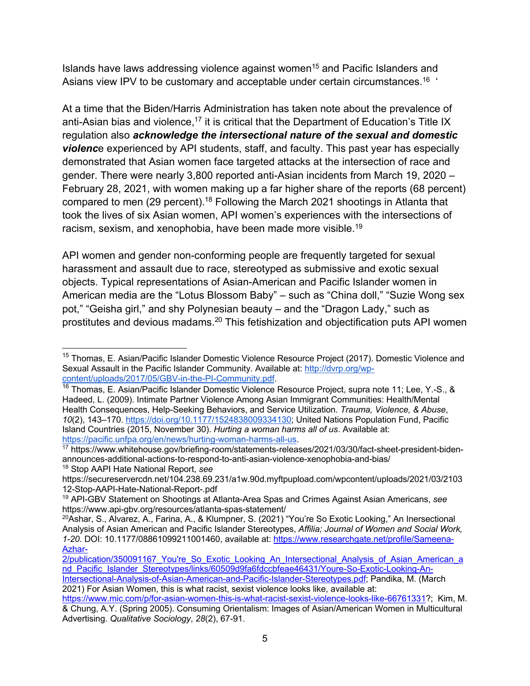Islands have laws addressing violence against women<sup>15</sup> and Pacific Islanders and Asians view IPV to be customary and acceptable under certain circumstances.<sup>16</sup>

At a time that the Biden/Harris Administration has taken note about the prevalence of anti-Asian bias and violence,  $17$  it is critical that the Department of Education's Title IX regulation also *acknowledge the intersectional nature of the sexual and domestic violenc*e experienced by API students, staff, and faculty. This past year has especially demonstrated that Asian women face targeted attacks at the intersection of race and gender. There were nearly 3,800 reported anti-Asian incidents from March 19, 2020 – February 28, 2021, with women making up a far higher share of the reports (68 percent) compared to men (29 percent).18 Following the March 2021 shootings in Atlanta that took the lives of six Asian women, API women's experiences with the intersections of racism, sexism, and xenophobia, have been made more visible.<sup>19</sup>

API women and gender non-conforming people are frequently targeted for sexual harassment and assault due to race, stereotyped as submissive and exotic sexual objects. Typical representations of Asian-American and Pacific Islander women in American media are the "Lotus Blossom Baby" – such as "China doll," "Suzie Wong sex pot," "Geisha girl," and shy Polynesian beauty – and the "Dragon Lady," such as prostitutes and devious madams.<sup>20</sup> This fetishization and objectification puts API women

<sup>&</sup>lt;sup>15</sup> Thomas, E. Asian/Pacific Islander Domestic Violence Resource Project (2017). Domestic Violence and Sexual Assault in the Pacific Islander Community. Available at: http://dvrp.org/wpcontent/uploads/2017/05/GBV-in-the-PI-Community.pdf.

<sup>&</sup>lt;sup>16</sup> Thomas, E. Asian/Pacific Islander Domestic Violence Resource Project, supra note 11; Lee, Y.-S., & Hadeed, L. (2009). Intimate Partner Violence Among Asian Immigrant Communities: Health/Mental Health Consequences, Help-Seeking Behaviors, and Service Utilization. *Trauma, Violence, & Abuse*, *10*(2), 143–170. https://doi.org/10.1177/1524838009334130; United Nations Population Fund, Pacific Island Countries (2015, November 30). *Hurting a woman harms all of us*. Available at: https://pacific.unfpa.org/en/news/hurting-woman-harms-all-us.

<sup>17</sup> https://www.whitehouse.gov/briefing-room/statements-releases/2021/03/30/fact-sheet-president-bidenannounces-additional-actions-to-respond-to-anti-asian-violence-xenophobia-and-bias/ <sup>18</sup> Stop AAPI Hate National Report, *see*

https://secureservercdn.net/104.238.69.231/a1w.90d.myftpupload.com/wpcontent/uploads/2021/03/2103 12-Stop-AAPI-Hate-National-Report-.pdf

<sup>19</sup> API-GBV Statement on Shootings at Atlanta-Area Spas and Crimes Against Asian Americans, *see* https://www.api-gbv.org/resources/atlanta-spas-statement/

<sup>&</sup>lt;sup>20</sup>Ashar, S., Alvarez, A., Farina, A., & Klumpner, S. (2021) "You're So Exotic Looking," An Inersectional Analysis of Asian American and Pacific Islander Stereotypes, *Affilia; Journal of Women and Social Work, 1-20.* DOI: 10.1177/08861099211001460, available at: https://www.researchgate.net/profile/Sameena-Azhar-

<sup>2/</sup>publication/350091167 You're So\_Exotic\_Looking\_An\_Intersectional\_Analysis\_of\_Asian\_American\_a nd Pacific Islander Stereotypes/links/60509d9fa6fdccbfeae46431/Youre-So-Exotic-Looking-An-

Intersectional-Analysis-of-Asian-American-and-Pacific-Islander-Stereotypes.pdf; Pandika, M. (March 2021) For Asian Women, this is what racist, sexist violence looks like, available at:

https://www.mic.com/p/for-asian-women-this-is-what-racist-sexist-violence-looks-like-66761331?; Kim, M. & Chung, A.Y. (Spring 2005). Consuming Orientalism: Images of Asian/American Women in Multicultural Advertising. *Qualitative Sociology*, *28*(2), 67-91.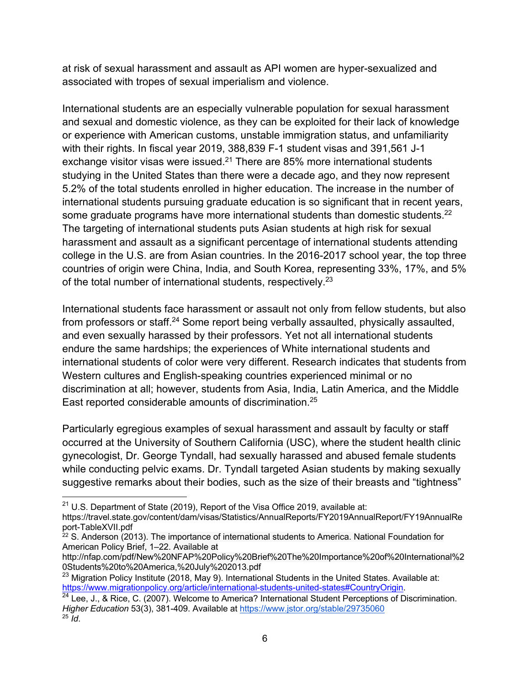at risk of sexual harassment and assault as API women are hyper-sexualized and associated with tropes of sexual imperialism and violence.

International students are an especially vulnerable population for sexual harassment and sexual and domestic violence, as they can be exploited for their lack of knowledge or experience with American customs, unstable immigration status, and unfamiliarity with their rights. In fiscal year 2019, 388,839 F-1 student visas and 391,561 J-1 exchange visitor visas were issued.<sup>21</sup> There are 85% more international students studying in the United States than there were a decade ago, and they now represent 5.2% of the total students enrolled in higher education. The increase in the number of international students pursuing graduate education is so significant that in recent years, some graduate programs have more international students than domestic students.<sup>22</sup> The targeting of international students puts Asian students at high risk for sexual harassment and assault as a significant percentage of international students attending college in the U.S. are from Asian countries. In the 2016-2017 school year, the top three countries of origin were China, India, and South Korea, representing 33%, 17%, and 5% of the total number of international students, respectively.<sup>23</sup>

International students face harassment or assault not only from fellow students, but also from professors or staff.24 Some report being verbally assaulted, physically assaulted, and even sexually harassed by their professors. Yet not all international students endure the same hardships; the experiences of White international students and international students of color were very different. Research indicates that students from Western cultures and English-speaking countries experienced minimal or no discrimination at all; however, students from Asia, India, Latin America, and the Middle East reported considerable amounts of discrimination. 25

Particularly egregious examples of sexual harassment and assault by faculty or staff occurred at the University of Southern California (USC), where the student health clinic gynecologist, Dr. George Tyndall, had sexually harassed and abused female students while conducting pelvic exams. Dr. Tyndall targeted Asian students by making sexually suggestive remarks about their bodies, such as the size of their breasts and "tightness"

 $21$  U.S. Department of State (2019), Report of the Visa Office 2019, available at:

https://travel.state.gov/content/dam/visas/Statistics/AnnualReports/FY2019AnnualReport/FY19AnnualRe port-TableXVII.pdf

 $22$  S. Anderson (2013). The importance of international students to America. National Foundation for American Policy Brief, 1–22. Available at

http://nfap.com/pdf/New%20NFAP%20Policy%20Brief%20The%20Importance%20of%20International%2 0Students%20to%20America,%20July%202013.pdf

 $^{23}$  Migration Policy Institute (2018, May 9). International Students in the United States. Available at: https://www.migrationpolicy.org/article/international-students-united-states#CountryOrigin.

<sup>&</sup>lt;sup>24</sup> Lee, J., & Rice, C. (2007). Welcome to America? International Student Perceptions of Discrimination. *Higher Education* 53(3), 381-409. Available at https://www.jstor.org/stable/29735060  $^{25}$   $\overline{Id}$ .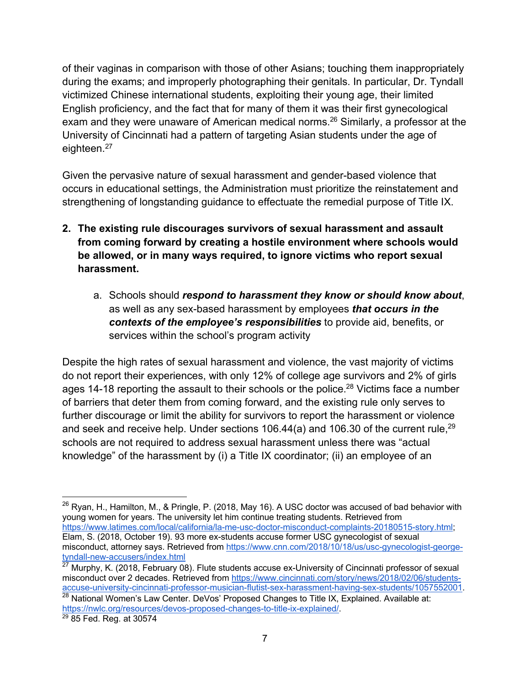of their vaginas in comparison with those of other Asians; touching them inappropriately during the exams; and improperly photographing their genitals. In particular, Dr. Tyndall victimized Chinese international students, exploiting their young age, their limited English proficiency, and the fact that for many of them it was their first gynecological exam and they were unaware of American medical norms.<sup>26</sup> Similarly, a professor at the University of Cincinnati had a pattern of targeting Asian students under the age of eighteen.<sup>27</sup>

Given the pervasive nature of sexual harassment and gender-based violence that occurs in educational settings, the Administration must prioritize the reinstatement and strengthening of longstanding guidance to effectuate the remedial purpose of Title IX.

- **2. The existing rule discourages survivors of sexual harassment and assault from coming forward by creating a hostile environment where schools would be allowed, or in many ways required, to ignore victims who report sexual harassment.**
	- a. Schools should *respond to harassment they know or should know about*, as well as any sex-based harassment by employees *that occurs in the contexts of the employee's responsibilities* to provide aid, benefits, or services within the school's program activity

Despite the high rates of sexual harassment and violence, the vast majority of victims do not report their experiences, with only 12% of college age survivors and 2% of girls ages 14-18 reporting the assault to their schools or the police.<sup>28</sup> Victims face a number of barriers that deter them from coming forward, and the existing rule only serves to further discourage or limit the ability for survivors to report the harassment or violence and seek and receive help. Under sections 106.44(a) and 106.30 of the current rule,<sup>29</sup> schools are not required to address sexual harassment unless there was "actual knowledge" of the harassment by (i) a Title IX coordinator; (ii) an employee of an

 $26$  Ryan, H., Hamilton, M., & Pringle, P. (2018, May 16). A USC doctor was accused of bad behavior with young women for years. The university let him continue treating students. Retrieved from https://www.latimes.com/local/california/la-me-usc-doctor-misconduct-complaints-20180515-story.html; Elam, S. (2018, October 19). 93 more ex-students accuse former USC gynecologist of sexual misconduct, attorney says. Retrieved from https://www.cnn.com/2018/10/18/us/usc-gynecologist-georgetyndall-new-accusers/index.html

 $27$  Murphy, K. (2018, February 08). Flute students accuse ex-University of Cincinnati professor of sexual misconduct over 2 decades. Retrieved from https://www.cincinnati.com/story/news/2018/02/06/studentsaccuse-university-cincinnati-professor-musician-flutist-sex-harassment-having-sex-students/1057552001.

 $28$  National Women's Law Center. DeVos' Proposed Changes to Title IX, Explained. Available at: https://nwlc.org/resources/devos-proposed-changes-to-title-ix-explained/.

<sup>29</sup> 85 Fed. Reg. at 30574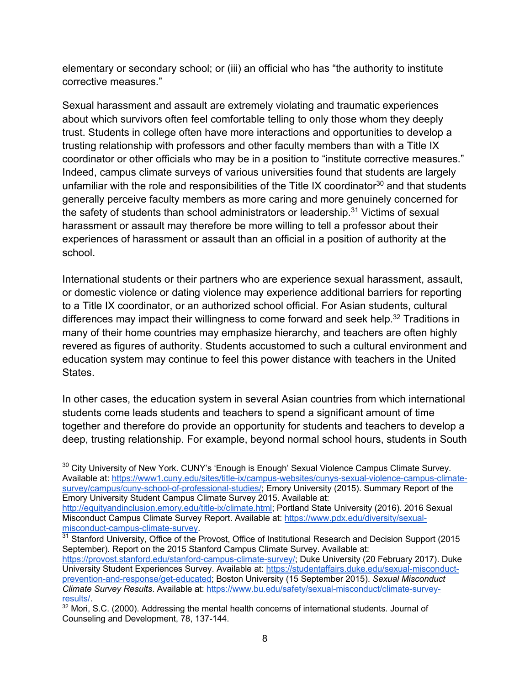elementary or secondary school; or (iii) an official who has "the authority to institute corrective measures."

Sexual harassment and assault are extremely violating and traumatic experiences about which survivors often feel comfortable telling to only those whom they deeply trust. Students in college often have more interactions and opportunities to develop a trusting relationship with professors and other faculty members than with a Title IX coordinator or other officials who may be in a position to "institute corrective measures." Indeed, campus climate surveys of various universities found that students are largely unfamiliar with the role and responsibilities of the Title IX coordinator<sup>30</sup> and that students generally perceive faculty members as more caring and more genuinely concerned for the safety of students than school administrators or leadership.<sup>31</sup> Victims of sexual harassment or assault may therefore be more willing to tell a professor about their experiences of harassment or assault than an official in a position of authority at the school.

International students or their partners who are experience sexual harassment, assault, or domestic violence or dating violence may experience additional barriers for reporting to a Title IX coordinator, or an authorized school official. For Asian students, cultural differences may impact their willingness to come forward and seek help.<sup>32</sup> Traditions in many of their home countries may emphasize hierarchy, and teachers are often highly revered as figures of authority. Students accustomed to such a cultural environment and education system may continue to feel this power distance with teachers in the United States.

In other cases, the education system in several Asian countries from which international students come leads students and teachers to spend a significant amount of time together and therefore do provide an opportunity for students and teachers to develop a deep, trusting relationship. For example, beyond normal school hours, students in South

<sup>&</sup>lt;sup>30</sup> City University of New York. CUNY's 'Enough is Enough' Sexual Violence Campus Climate Survey. Available at: https://www1.cuny.edu/sites/title-ix/campus-websites/cunys-sexual-violence-campus-climatesurvey/campus/cuny-school-of-professional-studies/; Emory University (2015). Summary Report of the Emory University Student Campus Climate Survey 2015. Available at:

http://equityandinclusion.emory.edu/title-ix/climate.html; Portland State University (2016). 2016 Sexual Misconduct Campus Climate Survey Report. Available at: https://www.pdx.edu/diversity/sexualmisconduct-campus-climate-survey.

 $31$  Stanford University, Office of the Provost, Office of Institutional Research and Decision Support (2015 September). Report on the 2015 Stanford Campus Climate Survey. Available at:

https://provost.stanford.edu/stanford-campus-climate-survey/; Duke University (20 February 2017). Duke University Student Experiences Survey. Available at: https://studentaffairs.duke.edu/sexual-misconductprevention-and-response/get-educated; Boston University (15 September 2015). *Sexual Misconduct Climate Survey Results*. Available at: https://www.bu.edu/safety/sexual-misconduct/climate-surveyresults/.

 $32$  Mori, S.C. (2000). Addressing the mental health concerns of international students. Journal of Counseling and Development, 78, 137-144.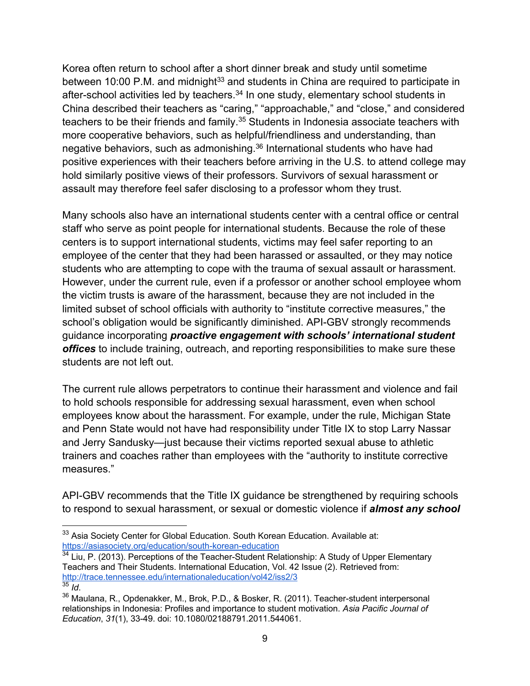Korea often return to school after a short dinner break and study until sometime between 10:00 P.M. and midnight<sup>33</sup> and students in China are required to participate in after-school activities led by teachers.<sup>34</sup> In one study, elementary school students in China described their teachers as "caring," "approachable," and "close," and considered teachers to be their friends and family.<sup>35</sup> Students in Indonesia associate teachers with more cooperative behaviors, such as helpful/friendliness and understanding, than negative behaviors, such as admonishing.36 International students who have had positive experiences with their teachers before arriving in the U.S. to attend college may hold similarly positive views of their professors. Survivors of sexual harassment or assault may therefore feel safer disclosing to a professor whom they trust.

Many schools also have an international students center with a central office or central staff who serve as point people for international students. Because the role of these centers is to support international students, victims may feel safer reporting to an employee of the center that they had been harassed or assaulted, or they may notice students who are attempting to cope with the trauma of sexual assault or harassment. However, under the current rule, even if a professor or another school employee whom the victim trusts is aware of the harassment, because they are not included in the limited subset of school officials with authority to "institute corrective measures," the school's obligation would be significantly diminished. API-GBV strongly recommends guidance incorporating *proactive engagement with schools' international student offices* to include training, outreach, and reporting responsibilities to make sure these students are not left out.

The current rule allows perpetrators to continue their harassment and violence and fail to hold schools responsible for addressing sexual harassment, even when school employees know about the harassment. For example, under the rule, Michigan State and Penn State would not have had responsibility under Title IX to stop Larry Nassar and Jerry Sandusky—just because their victims reported sexual abuse to athletic trainers and coaches rather than employees with the "authority to institute corrective measures."

API-GBV recommends that the Title IX guidance be strengthened by requiring schools to respond to sexual harassment, or sexual or domestic violence if *almost any school* 

<sup>&</sup>lt;sup>33</sup> Asia Society Center for Global Education. South Korean Education. Available at: https://asiasociety.org/education/south-korean-education

 $34$  Liu, P. (2013). Perceptions of the Teacher-Student Relationship: A Study of Upper Elementary Teachers and Their Students. International Education, Vol. 42 Issue (2). Retrieved from: http://trace.tennessee.edu/internationaleducation/vol42/iss2/3  $35$   $\overline{\phantom{a}}$  *Id.* 

<sup>&</sup>lt;sup>36</sup> Maulana, R., Opdenakker, M., Brok, P.D., & Bosker, R. (2011). Teacher-student interpersonal relationships in Indonesia: Profiles and importance to student motivation. *Asia Pacific Journal of Education*, *31*(1), 33-49. doi: 10.1080/02188791.2011.544061.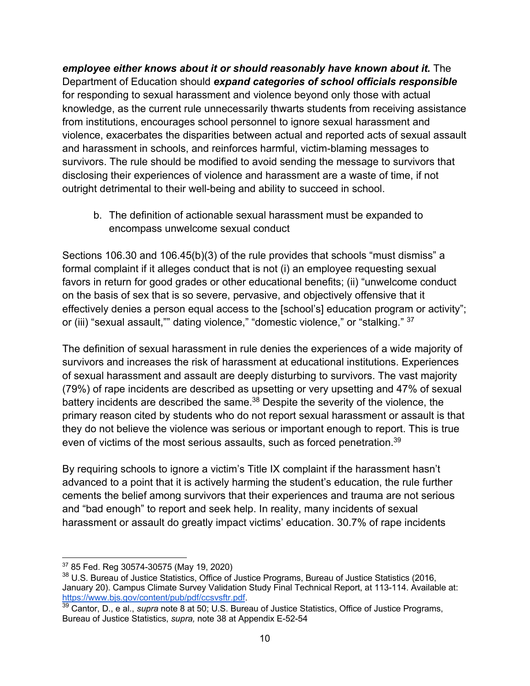## *employee either knows about it or should reasonably have known about it.* The Department of Education should *expand categories of school officials responsible* for responding to sexual harassment and violence beyond only those with actual knowledge, as the current rule unnecessarily thwarts students from receiving assistance from institutions, encourages school personnel to ignore sexual harassment and violence, exacerbates the disparities between actual and reported acts of sexual assault and harassment in schools, and reinforces harmful, victim-blaming messages to survivors. The rule should be modified to avoid sending the message to survivors that disclosing their experiences of violence and harassment are a waste of time, if not outright detrimental to their well-being and ability to succeed in school.

b. The definition of actionable sexual harassment must be expanded to encompass unwelcome sexual conduct

Sections 106.30 and 106.45(b)(3) of the rule provides that schools "must dismiss" a formal complaint if it alleges conduct that is not (i) an employee requesting sexual favors in return for good grades or other educational benefits; (ii) "unwelcome conduct on the basis of sex that is so severe, pervasive, and objectively offensive that it effectively denies a person equal access to the [school's] education program or activity"; or (iii) "sexual assault,"" dating violence," "domestic violence," or "stalking." 37

The definition of sexual harassment in rule denies the experiences of a wide majority of survivors and increases the risk of harassment at educational institutions. Experiences of sexual harassment and assault are deeply disturbing to survivors. The vast majority (79%) of rape incidents are described as upsetting or very upsetting and 47% of sexual battery incidents are described the same.<sup>38</sup> Despite the severity of the violence, the primary reason cited by students who do not report sexual harassment or assault is that they do not believe the violence was serious or important enough to report. This is true even of victims of the most serious assaults, such as forced penetration.<sup>39</sup>

By requiring schools to ignore a victim's Title IX complaint if the harassment hasn't advanced to a point that it is actively harming the student's education, the rule further cements the belief among survivors that their experiences and trauma are not serious and "bad enough" to report and seek help. In reality, many incidents of sexual harassment or assault do greatly impact victims' education. 30.7% of rape incidents

<sup>37</sup> 85 Fed. Reg 30574-30575 (May 19, 2020)

<sup>38</sup> U.S. Bureau of Justice Statistics, Office of Justice Programs, Bureau of Justice Statistics (2016, January 20). Campus Climate Survey Validation Study Final Technical Report, at 113-114. Available at: https://www.bjs.gov/content/pub/pdf/ccsvsftr.pdf.

<sup>39</sup> Cantor, D., e al., *supra* note 8 at 50; U.S. Bureau of Justice Statistics, Office of Justice Programs, Bureau of Justice Statistics, *supra,* note 38 at Appendix E-52-54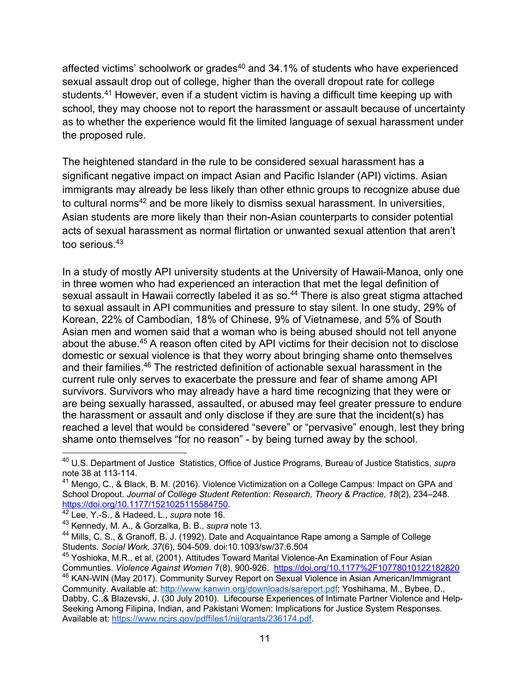affected victims' schoolwork or grades<sup>40</sup> and 34.1% of students who have experienced sexual assault drop out of college, higher than the overall dropout rate for college students.<sup>41</sup> However, even if a student victim is having a difficult time keeping up with school, they may choose not to report the harassment or assault because of uncertainty as to whether the experience would fit the limited language of sexual harassment under the proposed rule.

The heightened standard in the rule to be considered sexual harassment has a significant negative impact on impact Asian and Pacific Islander (API) victims. Asian immigrants may already be less likely than other ethnic groups to recognize abuse due to cultural norms<sup>42</sup> and be more likely to dismiss sexual harassment. In universities, Asian students are more likely than their non-Asian counterparts to consider potential acts of sexual harassment as normal flirtation or unwanted sexual attention that aren't too serious.<sup>43</sup>

In a study of mostly API university students at the University of Hawaii-Manoa, only one in three women who had experienced an interaction that met the legal definition of sexual assault in Hawaii correctly labeled it as so.<sup>44</sup> There is also great stigma attached to sexual assault in API communities and pressure to stay silent. In one study, 29% of Korean, 22% of Cambodian, 18% of Chinese, 9% of Vietnamese, and 5% of South Asian men and women said that a woman who is being abused should not tell anyone about the abuse.45 A reason often cited by API victims for their decision not to disclose domestic or sexual violence is that they worry about bringing shame onto themselves and their families.46 The restricted definition of actionable sexual harassment in the current rule only serves to exacerbate the pressure and fear of shame among API survivors. Survivors who may already have a hard time recognizing that they were or are being sexually harassed, assaulted, or abused may feel greater pressure to endure the harassment or assault and only disclose if they are sure that the incident(s) has reached a level that would be considered "severe" or "pervasive" enough, lest they bring shame onto themselves "for no reason" - by being turned away by the school.

<sup>40</sup> U.S. Department of Justice Statistics, Office of Justice Programs, Bureau of Justice Statistics, *supra*  note 38 at 113-114.

 $41$  Mengo, C., & Black, B. M. (2016). Violence Victimization on a College Campus: Impact on GPA and School Dropout. *Journal of College Student Retention: Research, Theory & Practice*, *18*(2), 234–248. https://doi.org/10.1177/1521025115584750.

<sup>42</sup> Lee, Y.-S., & Hadeed, L., *supra* note 16.

<sup>43</sup> Kennedy, M. A., & Gorzalka, B. B., *supra* note 13.

<sup>&</sup>lt;sup>44</sup> Mills, C. S., & Granoff, B. J. (1992). Date and Acquaintance Rape among a Sample of College Students. *Social Work, 37*(6), 504-509. doi:10.1093/sw/37.6.504

<sup>&</sup>lt;sup>45</sup> Yoshioka, M.R., et al, (2001). Attitudes Toward Marital Violence-An Examination of Four Asian Communties. *Violence Against Women* 7(8), 900-926. https://doi.org/10.1177%2F10778010122182820

<sup>46</sup> KAN-WIN (May 2017). Community Survey Report on Sexual Violence in Asian American/Immigrant Community. Available at: http://www.kanwin.org/downloads/sareport.pdf; Yoshihama, M., Bybee, D., Dabby, C.,& Blazevski, J. (30 July 2010). Lifecourse Experiences of Intimate Partner Violence and Help-Seeking Among Filipina, Indian, and Pakistani Women: Implications for Justice System Responses. Available at: https://www.ncjrs.gov/pdffiles1/nij/grants/236174.pdf.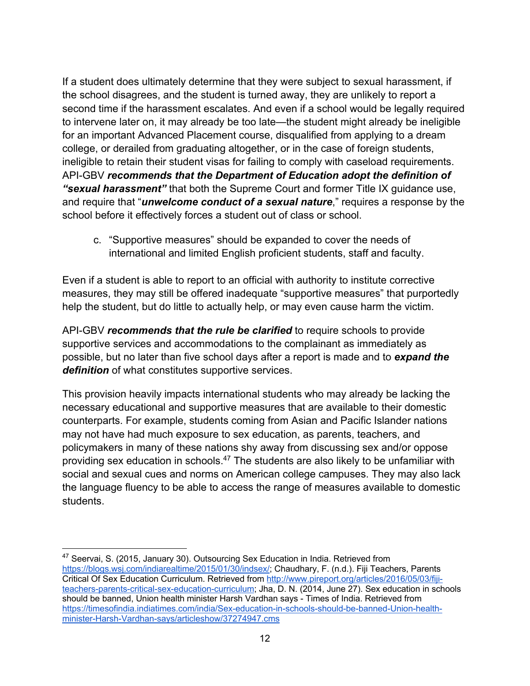If a student does ultimately determine that they were subject to sexual harassment, if the school disagrees, and the student is turned away, they are unlikely to report a second time if the harassment escalates. And even if a school would be legally required to intervene later on, it may already be too late—the student might already be ineligible for an important Advanced Placement course, disqualified from applying to a dream college, or derailed from graduating altogether, or in the case of foreign students, ineligible to retain their student visas for failing to comply with caseload requirements. API-GBV *recommends that the Department of Education adopt the definition of "sexual harassment"* that both the Supreme Court and former Title IX guidance use, and require that "*unwelcome conduct of a sexual nature*," requires a response by the school before it effectively forces a student out of class or school.

c. "Supportive measures" should be expanded to cover the needs of international and limited English proficient students, staff and faculty.

Even if a student is able to report to an official with authority to institute corrective measures, they may still be offered inadequate "supportive measures" that purportedly help the student, but do little to actually help, or may even cause harm the victim.

API-GBV *recommends that the rule be clarified* to require schools to provide supportive services and accommodations to the complainant as immediately as possible, but no later than five school days after a report is made and to *expand the definition* of what constitutes supportive services.

This provision heavily impacts international students who may already be lacking the necessary educational and supportive measures that are available to their domestic counterparts. For example, students coming from Asian and Pacific Islander nations may not have had much exposure to sex education, as parents, teachers, and policymakers in many of these nations shy away from discussing sex and/or oppose providing sex education in schools.<sup>47</sup> The students are also likely to be unfamiliar with social and sexual cues and norms on American college campuses. They may also lack the language fluency to be able to access the range of measures available to domestic students.

<sup>&</sup>lt;sup>47</sup> Seervai, S. (2015, January 30). Outsourcing Sex Education in India. Retrieved from https://blogs.wsj.com/indiarealtime/2015/01/30/indsex/; Chaudhary, F. (n.d.). Fiji Teachers, Parents Critical Of Sex Education Curriculum. Retrieved from http://www.pireport.org/articles/2016/05/03/fijiteachers-parents-critical-sex-education-curriculum; Jha, D. N. (2014, June 27). Sex education in schools should be banned, Union health minister Harsh Vardhan says - Times of India. Retrieved from https://timesofindia.indiatimes.com/india/Sex-education-in-schools-should-be-banned-Union-healthminister-Harsh-Vardhan-says/articleshow/37274947.cms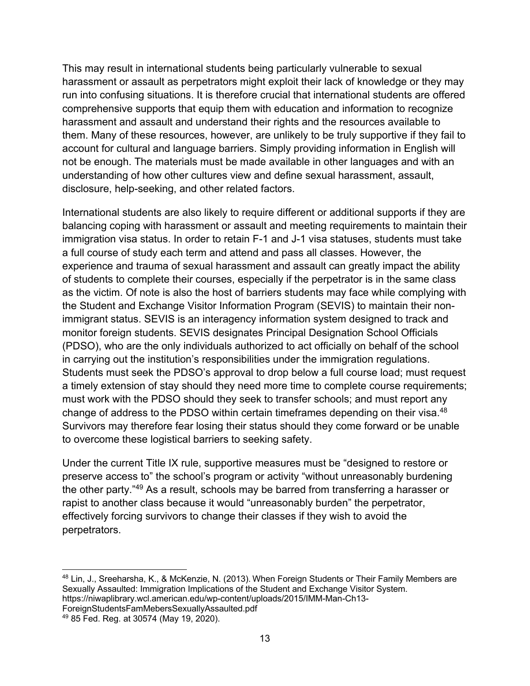This may result in international students being particularly vulnerable to sexual harassment or assault as perpetrators might exploit their lack of knowledge or they may run into confusing situations. It is therefore crucial that international students are offered comprehensive supports that equip them with education and information to recognize harassment and assault and understand their rights and the resources available to them. Many of these resources, however, are unlikely to be truly supportive if they fail to account for cultural and language barriers. Simply providing information in English will not be enough. The materials must be made available in other languages and with an understanding of how other cultures view and define sexual harassment, assault, disclosure, help-seeking, and other related factors.

International students are also likely to require different or additional supports if they are balancing coping with harassment or assault and meeting requirements to maintain their immigration visa status. In order to retain F-1 and J-1 visa statuses, students must take a full course of study each term and attend and pass all classes. However, the experience and trauma of sexual harassment and assault can greatly impact the ability of students to complete their courses, especially if the perpetrator is in the same class as the victim. Of note is also the host of barriers students may face while complying with the Student and Exchange Visitor Information Program (SEVIS) to maintain their nonimmigrant status. SEVIS is an interagency information system designed to track and monitor foreign students. SEVIS designates Principal Designation School Officials (PDSO), who are the only individuals authorized to act officially on behalf of the school in carrying out the institution's responsibilities under the immigration regulations. Students must seek the PDSO's approval to drop below a full course load; must request a timely extension of stay should they need more time to complete course requirements; must work with the PDSO should they seek to transfer schools; and must report any change of address to the PDSO within certain timeframes depending on their visa.48 Survivors may therefore fear losing their status should they come forward or be unable to overcome these logistical barriers to seeking safety.

Under the current Title IX rule, supportive measures must be "designed to restore or preserve access to" the school's program or activity "without unreasonably burdening the other party."49 As a result, schools may be barred from transferring a harasser or rapist to another class because it would "unreasonably burden" the perpetrator, effectively forcing survivors to change their classes if they wish to avoid the perpetrators.

<sup>48</sup> Lin, J., Sreeharsha, K., & McKenzie, N. (2013). When Foreign Students or Their Family Members are Sexually Assaulted: Immigration Implications of the Student and Exchange Visitor System. https://niwaplibrary.wcl.american.edu/wp-content/uploads/2015/IMM-Man-Ch13- ForeignStudentsFamMebersSexuallyAssaulted.pdf

<sup>49</sup> 85 Fed. Reg. at 30574 (May 19, 2020).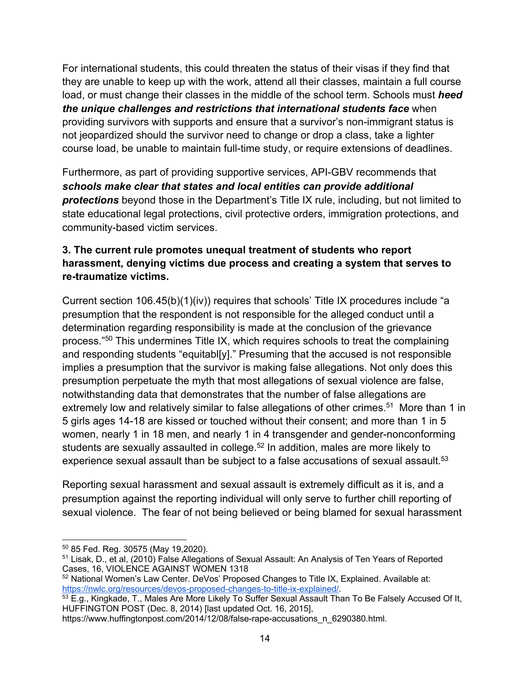For international students, this could threaten the status of their visas if they find that they are unable to keep up with the work, attend all their classes, maintain a full course load, or must change their classes in the middle of the school term. Schools must *heed the unique challenges and restrictions that international students face* when providing survivors with supports and ensure that a survivor's non-immigrant status is not jeopardized should the survivor need to change or drop a class, take a lighter course load, be unable to maintain full-time study, or require extensions of deadlines.

Furthermore, as part of providing supportive services, API-GBV recommends that *schools make clear that states and local entities can provide additional protections* beyond those in the Department's Title IX rule, including, but not limited to state educational legal protections, civil protective orders, immigration protections, and community-based victim services.

## **3. The current rule promotes unequal treatment of students who report harassment, denying victims due process and creating a system that serves to re-traumatize victims.**

Current section 106.45(b)(1)(iv)) requires that schools' Title IX procedures include "a presumption that the respondent is not responsible for the alleged conduct until a determination regarding responsibility is made at the conclusion of the grievance process."50 This undermines Title IX, which requires schools to treat the complaining and responding students "equitabl[y]." Presuming that the accused is not responsible implies a presumption that the survivor is making false allegations. Not only does this presumption perpetuate the myth that most allegations of sexual violence are false, notwithstanding data that demonstrates that the number of false allegations are extremely low and relatively similar to false allegations of other crimes.<sup>51</sup> More than 1 in 5 girls ages 14-18 are kissed or touched without their consent; and more than 1 in 5 women, nearly 1 in 18 men, and nearly 1 in 4 transgender and gender-nonconforming students are sexually assaulted in college.<sup>52</sup> In addition, males are more likely to experience sexual assault than be subject to a false accusations of sexual assault.<sup>53</sup>

Reporting sexual harassment and sexual assault is extremely difficult as it is, and a presumption against the reporting individual will only serve to further chill reporting of sexual violence. The fear of not being believed or being blamed for sexual harassment

 $50$  85 Fed. Reg. 30575 (May 19.2020).

<sup>51</sup> Lisak, D., et al, (2010) False Allegations of Sexual Assault: An Analysis of Ten Years of Reported Cases, 16, VIOLENCE AGAINST WOMEN 1318

 $52$  National Women's Law Center. DeVos' Proposed Changes to Title IX, Explained. Available at: https://nwlc.org/resources/devos-proposed-changes-to-title-ix-explained/.

 $53$  E.g., Kingkade, T., Males Are More Likely To Suffer Sexual Assault Than To Be Falsely Accused Of It, HUFFINGTON POST (Dec. 8, 2014) [last updated Oct. 16, 2015],

https://www.huffingtonpost.com/2014/12/08/false-rape-accusations\_n\_6290380.html.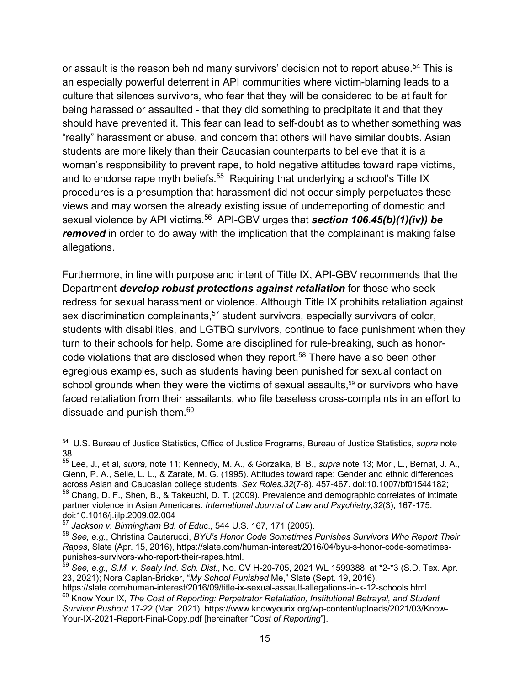or assault is the reason behind many survivors' decision not to report abuse.<sup>54</sup> This is an especially powerful deterrent in API communities where victim-blaming leads to a culture that silences survivors, who fear that they will be considered to be at fault for being harassed or assaulted - that they did something to precipitate it and that they should have prevented it. This fear can lead to self-doubt as to whether something was "really" harassment or abuse, and concern that others will have similar doubts. Asian students are more likely than their Caucasian counterparts to believe that it is a woman's responsibility to prevent rape, to hold negative attitudes toward rape victims, and to endorse rape myth beliefs.<sup>55</sup> Requiring that underlying a school's Title IX procedures is a presumption that harassment did not occur simply perpetuates these views and may worsen the already existing issue of underreporting of domestic and sexual violence by API victims.<sup>56</sup> API-GBV urges that *section 106.45(b)(1)(iv)) be removed* in order to do away with the implication that the complainant is making false allegations.

Furthermore, in line with purpose and intent of Title IX, API-GBV recommends that the Department *develop robust protections against retaliation* for those who seek redress for sexual harassment or violence. Although Title IX prohibits retaliation against sex discrimination complainants,<sup>57</sup> student survivors, especially survivors of color, students with disabilities, and LGTBQ survivors, continue to face punishment when they turn to their schools for help. Some are disciplined for rule-breaking, such as honorcode violations that are disclosed when they report.58 There have also been other egregious examples, such as students having been punished for sexual contact on school grounds when they were the victims of sexual assaults,<sup>59</sup> or survivors who have faced retaliation from their assailants, who file baseless cross-complaints in an effort to dissuade and punish them.<sup>60</sup>

<sup>54</sup> U.S. Bureau of Justice Statistics, Office of Justice Programs, Bureau of Justice Statistics, *supra* note 38.

<sup>55</sup> Lee, J., et al, *supra,* note 11; Kennedy, M. A., & Gorzalka, B. B., *supra* note 13; Mori, L., Bernat, J. A., Glenn, P. A., Selle, L. L., & Zarate, M. G. (1995). Attitudes toward rape: Gender and ethnic differences across Asian and Caucasian college students. *Sex Roles,32*(7-8), 457-467. doi:10.1007/bf01544182; <sup>56</sup> Chang, D. F., Shen, B., & Takeuchi, D. T. (2009). Prevalence and demographic correlates of intimate partner violence in Asian Americans. *International Journal of Law and Psychiatry,32*(3), 167-175. doi:10.1016/j.ijlp.2009.02.004

<sup>57</sup> *Jackson v. Birmingham Bd. of Educ*., 544 U.S. 167, 171 (2005).

<sup>58</sup> *See, e.g.*, Christina Cauterucci, *BYU's Honor Code Sometimes Punishes Survivors Who Report Their Rapes*, Slate (Apr. 15, 2016), https://slate.com/human-interest/2016/04/byu-s-honor-code-sometimespunishes-survivors-who-report-their-rapes.html.

<sup>59</sup> *See, e.g., S.M. v. Sealy Ind. Sch. Dist.,* No. CV H-20-705, 2021 WL 1599388, at \*2-\*3 (S.D. Tex. Apr. 23, 2021); Nora Caplan-Bricker, "*My School Punished* Me," Slate (Sept. 19, 2016),

https://slate.com/human-interest/2016/09/title-ix-sexual-assault-allegations-in-k-12-schools.html. <sup>60</sup> Know Your IX, *The Cost of Reporting: Perpetrator Retaliation, Institutional Betrayal, and Student Survivor Pushout* 17-22 (Mar. 2021), https://www.knowyourix.org/wp-content/uploads/2021/03/Know-

Your-IX-2021-Report-Final-Copy.pdf [hereinafter "*Cost of Reporting*"].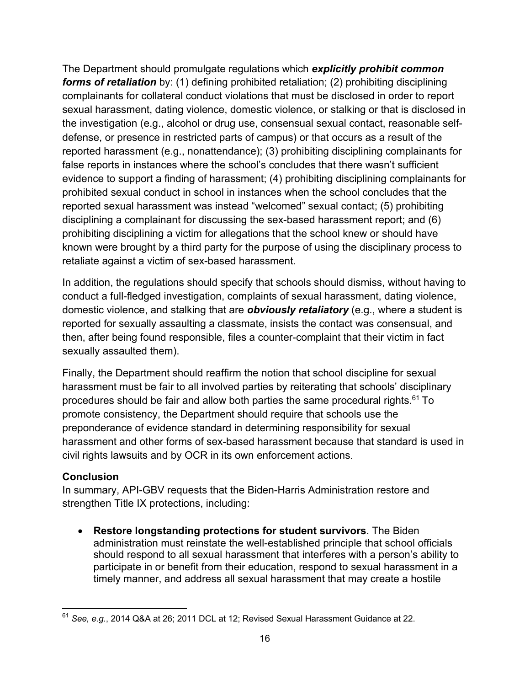The Department should promulgate regulations which *explicitly prohibit common forms of retaliation* by: (1) defining prohibited retaliation; (2) prohibiting disciplining complainants for collateral conduct violations that must be disclosed in order to report sexual harassment, dating violence, domestic violence, or stalking or that is disclosed in the investigation (e.g., alcohol or drug use, consensual sexual contact, reasonable selfdefense, or presence in restricted parts of campus) or that occurs as a result of the reported harassment (e.g., nonattendance); (3) prohibiting disciplining complainants for false reports in instances where the school's concludes that there wasn't sufficient evidence to support a finding of harassment; (4) prohibiting disciplining complainants for prohibited sexual conduct in school in instances when the school concludes that the reported sexual harassment was instead "welcomed" sexual contact; (5) prohibiting disciplining a complainant for discussing the sex-based harassment report; and (6) prohibiting disciplining a victim for allegations that the school knew or should have known were brought by a third party for the purpose of using the disciplinary process to retaliate against a victim of sex-based harassment.

In addition, the regulations should specify that schools should dismiss, without having to conduct a full-fledged investigation, complaints of sexual harassment, dating violence, domestic violence, and stalking that are *obviously retaliatory* (e.g., where a student is reported for sexually assaulting a classmate, insists the contact was consensual, and then, after being found responsible, files a counter-complaint that their victim in fact sexually assaulted them).

Finally, the Department should reaffirm the notion that school discipline for sexual harassment must be fair to all involved parties by reiterating that schools' disciplinary procedures should be fair and allow both parties the same procedural rights.<sup>61</sup> To promote consistency, the Department should require that schools use the preponderance of evidence standard in determining responsibility for sexual harassment and other forms of sex-based harassment because that standard is used in civil rights lawsuits and by OCR in its own enforcement actions.

## **Conclusion**

In summary, API-GBV requests that the Biden-Harris Administration restore and strengthen Title IX protections, including:

• **Restore longstanding protections for student survivors**. The Biden administration must reinstate the well-established principle that school officials should respond to all sexual harassment that interferes with a person's ability to participate in or benefit from their education, respond to sexual harassment in a timely manner, and address all sexual harassment that may create a hostile

<sup>61</sup> *See, e.g.*, 2014 Q&A at 26; 2011 DCL at 12; Revised Sexual Harassment Guidance at 22.